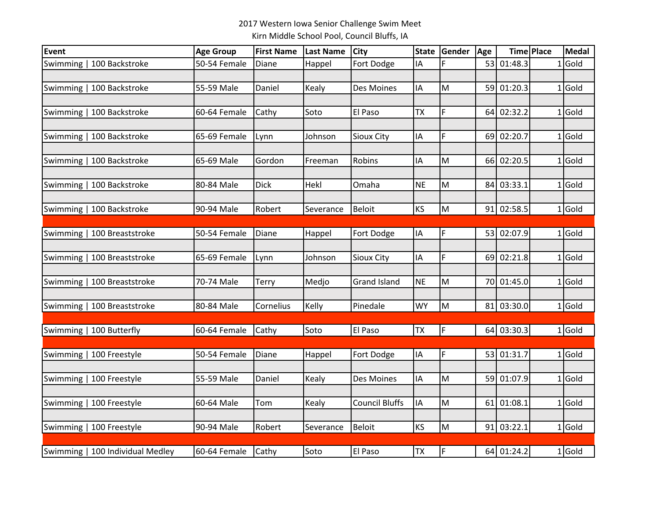## 2017 Western Iowa Senior Challenge Swim Meet Kirn Middle School Pool, Council Bluffs, IA

| Event    |                                  | <b>Age Group</b> | <b>First Name</b> | <b>Last Name</b> | <b>City</b>           | <b>State</b> | Gender      | Age |            | <b>Time Place</b> | Medal     |
|----------|----------------------------------|------------------|-------------------|------------------|-----------------------|--------------|-------------|-----|------------|-------------------|-----------|
| Swimming | 100 Backstroke                   | 50-54 Female     | Diane             | Happel           | Fort Dodge            | IA           |             |     | 53 01:48.3 |                   | $1$ Gold  |
|          |                                  |                  |                   |                  |                       |              |             |     |            |                   |           |
|          | Swimming   100 Backstroke        | 55-59 Male       | Daniel            | Kealy            | Des Moines            | IA           | M           |     | 59 01:20.3 |                   | $1$ Gold  |
|          |                                  |                  |                   |                  |                       |              |             |     |            |                   |           |
|          | Swimming   100 Backstroke        | 60-64 Female     | Cathy             | Soto             | El Paso               | <b>TX</b>    | $\mathsf F$ | 64  | 02:32.2    |                   | $1$ Gold  |
|          |                                  |                  |                   |                  |                       |              |             |     |            |                   |           |
|          | Swimming   100 Backstroke        | 65-69 Female     | Lynn              | Johnson          | <b>Sioux City</b>     | IA           | $\mathsf F$ |     | 69 02:20.7 |                   | $1$ Gold  |
|          | Swimming   100 Backstroke        | 65-69 Male       | Gordon            | Freeman          | Robins                | IA           | M           |     | 66 02:20.5 |                   | $1$ Gold  |
|          |                                  |                  |                   |                  |                       |              |             |     |            |                   |           |
|          | Swimming   100 Backstroke        | 80-84 Male       | Dick              | Hekl             | Omaha                 | <b>NE</b>    | M           | 84  | 03:33.1    |                   | $1 $ Gold |
|          |                                  |                  |                   |                  |                       |              |             |     |            |                   |           |
|          | Swimming   100 Backstroke        | 90-94 Male       | Robert            | Severance        | <b>Beloit</b>         | KS           | M           |     | 91 02:58.5 |                   | $1$ Gold  |
|          |                                  |                  |                   |                  |                       |              |             |     |            |                   |           |
|          | Swimming   100 Breaststroke      | 50-54 Female     | Diane             | Happel           | Fort Dodge            | IA           | $\mathsf F$ |     | 53 02:07.9 |                   | $1$ Gold  |
|          |                                  |                  |                   |                  |                       |              |             |     |            |                   |           |
|          | Swimming   100 Breaststroke      | 65-69 Female     | Lynn              | Johnson          | <b>Sioux City</b>     | ΙA           | F           |     | 69 02:21.8 |                   | $1 $ Gold |
|          |                                  |                  |                   |                  |                       |              |             |     |            |                   |           |
|          | Swimming   100 Breaststroke      | 70-74 Male       | Terry             | Medjo            | <b>Grand Island</b>   | <b>NE</b>    | M           |     | 70 01:45.0 |                   | $1$ Gold  |
|          |                                  |                  |                   |                  |                       |              |             |     |            |                   |           |
|          | Swimming   100 Breaststroke      | 80-84 Male       | Cornelius         | Kelly            | Pinedale              | <b>WY</b>    | M           |     | 81 03:30.0 |                   | $1$ Gold  |
|          | Swimming   100 Butterfly         | 60-64 Female     | Cathy             | Soto             | El Paso               | TX           | $\mathsf F$ |     | 64 03:30.3 |                   | $1$ Gold  |
|          |                                  |                  |                   |                  |                       |              |             |     |            |                   |           |
|          | Swimming   100 Freestyle         | 50-54 Female     | Diane             | Happel           | Fort Dodge            | IA           | $\mathsf F$ |     | 53 01:31.7 |                   | $1$ Gold  |
|          |                                  |                  |                   |                  |                       |              |             |     |            |                   |           |
|          | Swimming   100 Freestyle         | 55-59 Male       | Daniel            | Kealy            | Des Moines            | IA           | M           |     | 59 01:07.9 |                   | $1$ Gold  |
|          |                                  |                  |                   |                  |                       |              |             |     |            |                   |           |
|          | Swimming   100 Freestyle         | 60-64 Male       | Tom               | Kealy            | <b>Council Bluffs</b> | ΙA           | M           | 61  | 01:08.1    |                   | $1$ Gold  |
|          |                                  |                  |                   |                  |                       |              |             |     |            |                   |           |
|          | Swimming   100 Freestyle         | 90-94 Male       | Robert            | Severance        | <b>Beloit</b>         | <b>KS</b>    | M           |     | 91 03:22.1 |                   | $1$ Gold  |
|          |                                  |                  |                   |                  |                       |              |             |     |            |                   |           |
|          | Swimming   100 Individual Medley | 60-64 Female     | Cathy             | Soto             | El Paso               | <b>TX</b>    | $\mathsf F$ |     | 64 01:24.2 |                   | $1$ Gold  |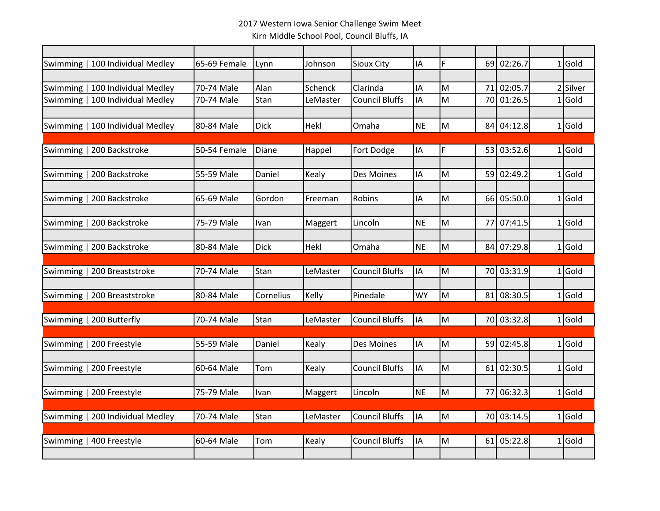## 2017 Western Iowa Senior Challenge Swim Meet Kirn Middle School Pool, Council Bluffs, IA

|          |                                  | 65-69 Female |             | Johnson     | Sioux City            | IA        | F |      | 69 02:26.7 |              | $1$ Gold |
|----------|----------------------------------|--------------|-------------|-------------|-----------------------|-----------|---|------|------------|--------------|----------|
|          | Swimming   100 Individual Medley |              | Lynn        |             |                       |           |   |      |            |              |          |
| Swimming | 100 Individual Medley            | 70-74 Male   | Alan        | Schenck     | Clarinda              | IA        | M | 71   | 02:05.7    |              | 2 Silver |
| Swimming | 100 Individual Medley            | 70-74 Male   | Stan        | LeMaster    | <b>Council Bluffs</b> | IA        | M | 70   | 01:26.5    |              | $1$ Gold |
|          |                                  |              |             |             |                       |           |   |      |            |              |          |
|          | Swimming   100 Individual Medley | 80-84 Male   | <b>Dick</b> | Hekl        | Omaha                 | <b>NE</b> | M |      | 84 04:12.8 |              | $1$ Gold |
|          |                                  |              |             |             |                       |           |   |      |            |              |          |
|          | Swimming   200 Backstroke        | 50-54 Female | Diane       | Happel      | Fort Dodge            | IA        | F |      | 53 03:52.6 |              | $1$ Gold |
|          |                                  |              |             |             |                       |           |   |      |            |              |          |
|          | Swimming   200 Backstroke        | 55-59 Male   | Daniel      | Kealy       | Des Moines            | IA        | M |      | 59 02:49.2 |              | $1$ Gold |
|          |                                  |              |             |             |                       |           |   |      |            |              |          |
|          | Swimming   200 Backstroke        | 65-69 Male   | Gordon      | Freeman     | Robins                | IA        | M |      | 66 05:50.0 |              | $1$ Gold |
|          |                                  |              |             |             |                       |           |   |      |            |              |          |
| Swimming | 200 Backstroke                   | 75-79 Male   | Ivan        | Maggert     | Lincoln               | <b>NE</b> | M | 77   | 07:41.5    | $\mathbf{1}$ | Gold     |
|          |                                  |              |             |             |                       |           |   |      |            |              |          |
|          | Swimming   200 Backstroke        | 80-84 Male   | <b>Dick</b> | <b>Hekl</b> | Omaha                 | <b>NE</b> | M |      | 84 07:29.8 |              | $1$ Gold |
|          |                                  |              |             |             |                       |           |   |      |            |              |          |
|          | Swimming   200 Breaststroke      | 70-74 Male   | Stan        | LeMaster    | <b>Council Bluffs</b> | IA        | M |      | 70 03:31.9 |              | $1$ Gold |
|          | Swimming   200 Breaststroke      | 80-84 Male   | Cornelius   | Kelly       | Pinedale              | <b>WY</b> | M |      | 81 08:30.5 |              | $1$ Gold |
|          |                                  |              |             |             |                       |           |   |      |            |              |          |
|          | Swimming   200 Butterfly         | 70-74 Male   | Stan        | LeMaster    | <b>Council Bluffs</b> | IA        | M |      | 70 03:32.8 |              | $1$ Gold |
|          |                                  |              |             |             |                       |           |   |      |            |              |          |
|          | Swimming   200 Freestyle         | 55-59 Male   | Daniel      | Kealy       | <b>Des Moines</b>     | IA        | M |      | 59 02:45.8 |              | $1$ Gold |
|          |                                  |              |             |             |                       |           |   |      |            |              |          |
|          | Swimming   200 Freestyle         | 60-64 Male   | Tom         | Kealy       | <b>Council Bluffs</b> | IA        | M | 61 I | 02:30.5    |              | $1$ Gold |
|          |                                  |              |             |             |                       |           |   |      |            |              |          |
|          | Swimming   200 Freestyle         | 75-79 Male   | Ivan        | Maggert     | Lincoln               | <b>NE</b> | M |      | 77 06:32.3 |              | $1$ Gold |
|          |                                  |              |             |             |                       |           |   |      |            |              |          |
|          | Swimming   200 Individual Medley | 70-74 Male   | Stan        | LeMaster    | Council Bluffs        | IA        | M |      | 70 03:14.5 |              | $1$ Gold |
|          |                                  |              |             |             |                       |           |   |      |            |              |          |
|          | Swimming   400 Freestyle         | 60-64 Male   | Tom         | Kealy       | <b>Council Bluffs</b> | IA        | M |      | 61 05:22.8 |              | $1$ Gold |
|          |                                  |              |             |             |                       |           |   |      |            |              |          |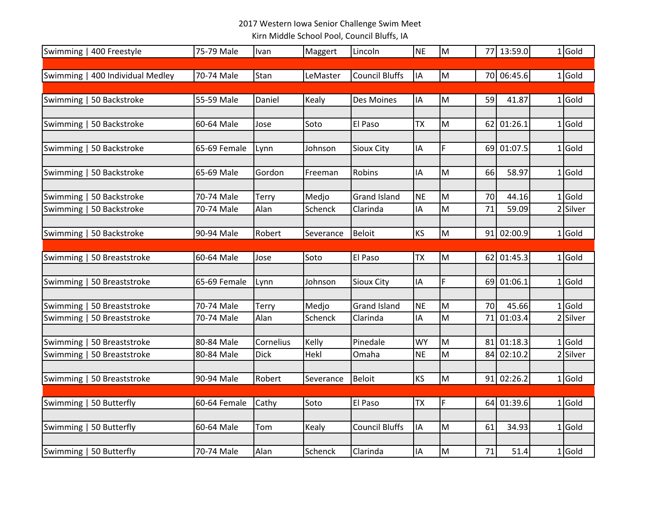## 2017 Western Iowa Senior Challenge Swim Meet

Kirn Middle School Pool, Council Bluffs, IA

|          | Swimming   400 Freestyle         | 75-79 Male   | Ivan         | Maggert   | Lincoln               | <b>NE</b> | M           |    | 77 13:59.0 | $1$ Gold |
|----------|----------------------------------|--------------|--------------|-----------|-----------------------|-----------|-------------|----|------------|----------|
|          |                                  |              |              |           |                       |           |             |    |            |          |
|          | Swimming   400 Individual Medley | 70-74 Male   | Stan         | LeMaster  | <b>Council Bluffs</b> | IA        | M           |    | 70 06:45.6 | $1$ Gold |
|          |                                  |              |              |           |                       |           |             |    |            |          |
| Swimming | 50 Backstroke                    | 55-59 Male   | Daniel       | Kealy     | Des Moines            | IA        | M           | 59 | 41.87      | $1$ Gold |
|          |                                  |              |              |           |                       |           |             |    |            |          |
|          | Swimming   50 Backstroke         | 60-64 Male   | Jose         | Soto      | El Paso               | ТX        | M           | 62 | 01:26.1    | $1$ Gold |
|          |                                  |              |              |           |                       |           |             |    |            |          |
|          | Swimming   50 Backstroke         | 65-69 Female | Lynn         | Johnson   | Sioux City            | ΙA        | $\mathsf F$ | 69 | 01:07.5    | $1$ Gold |
|          |                                  |              |              |           |                       |           |             |    |            |          |
|          | Swimming   50 Backstroke         | 65-69 Male   | Gordon       | Freeman   | Robins                | IA        | M           | 66 | 58.97      | $1$ Gold |
|          | Swimming   50 Backstroke         | 70-74 Male   | Terry        | Medjo     | <b>Grand Island</b>   | <b>NE</b> | M           | 70 | 44.16      | $1$ Gold |
|          | Swimming   50 Backstroke         | 70-74 Male   | Alan         | Schenck   | Clarinda              | ΙA        | M           | 71 | 59.09      | 2 Silver |
|          |                                  |              |              |           |                       |           |             |    |            |          |
|          | Swimming   50 Backstroke         | 90-94 Male   | Robert       | Severance | <b>Beloit</b>         | KS        | M           |    | 91 02:00.9 | $1$ Gold |
|          |                                  |              |              |           |                       |           |             |    |            |          |
|          | Swimming   50 Breaststroke       | 60-64 Male   | Jose         | Soto      | El Paso               | <b>TX</b> | M           |    | 62 01:45.3 | $1$ Gold |
|          |                                  |              |              |           |                       |           |             |    |            |          |
| Swimming | 50 Breaststroke                  | 65-69 Female | Lynn         | Johnson   | Sioux City            | IA        | $\mathsf F$ | 69 | 01:06.1    | $1$ Gold |
|          |                                  |              |              |           |                       |           |             |    |            |          |
| Swimming | 50 Breaststroke                  | 70-74 Male   | <b>Terry</b> | Medjo     | <b>Grand Island</b>   | <b>NE</b> | M           | 70 | 45.66      | $1$ Gold |
|          | Swimming   50 Breaststroke       | 70-74 Male   | Alan         | Schenck   | Clarinda              | ΙA        | M           | 71 | 01:03.4    | 2 Silver |
|          |                                  |              |              |           |                       |           |             |    |            |          |
| Swimming | 50 Breaststroke                  | 80-84 Male   | Cornelius    | Kelly     | Pinedale              | <b>WY</b> | M           | 81 | 01:18.3    | $1$ Gold |
| Swimming | 50 Breaststroke                  | 80-84 Male   | <b>Dick</b>  | Hekl      | Omaha                 | <b>NE</b> | M           | 84 | 02:10.2    | 2 Silver |
|          |                                  |              |              |           |                       |           |             |    |            |          |
|          | Swimming   50 Breaststroke       | 90-94 Male   | Robert       | Severance | <b>Beloit</b>         | KS        | M           |    | 91 02:26.2 | $1$ Gold |
|          |                                  |              |              |           |                       |           |             |    |            |          |
| Swimming | 50 Butterfly                     | 60-64 Female | Cathy        | Soto      | El Paso               | <b>ΤΧ</b> | $\mathsf F$ | 64 | 01:39.6    | $1$ Gold |
|          |                                  |              |              |           |                       |           |             |    |            |          |
|          | Swimming   50 Butterfly          | 60-64 Male   | Tom          | Kealy     | <b>Council Bluffs</b> | IA        | M           | 61 | 34.93      | $1$ Gold |
|          | Swimming   50 Butterfly          | 70-74 Male   | Alan         | Schenck   | Clarinda              | IA        | M           | 71 | 51.4       | $1$ Gold |
|          |                                  |              |              |           |                       |           |             |    |            |          |